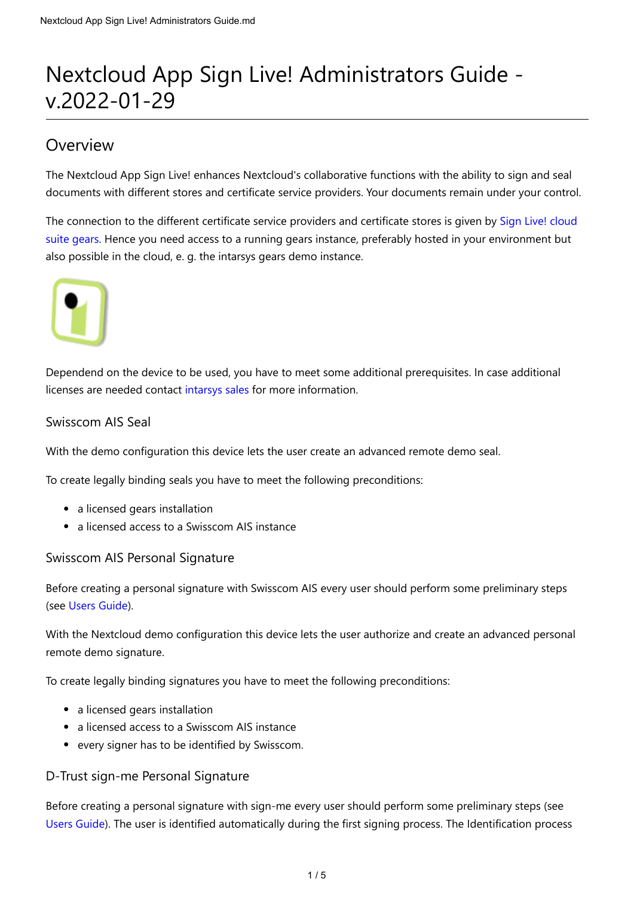# Nextcloud App Sign Live! Administrators Guide v.2022-01-29

# Overview

The Nextcloud App Sign Live! enhances Nextcloud's collaborative functions with the ability to sign and seal documents with different stores and certificate service providers. Your documents remain under your control.

[The connection to the different certificate service providers and certificate stores is given by Sign Live! cloud](https://www.intarsys.de/produkte/sign-live-cloud-suite-gears) suite gears. Hence you need access to a running gears instance, preferably hosted in your environment but also possible in the cloud, e. g. the intarsys gears demo instance.



Dependend on the device to be used, you have to meet some additional prerequisites. In case additional licenses are needed contact [intarsys sales](https://www.intarsys.de/contact/sales) for more information.

### Swisscom AIS Seal

With the demo configuration this device lets the user create an advanced remote demo seal.

To create legally binding seals you have to meet the following preconditions:

- a licensed gears installation
- a licensed access to a Swisscom AIS instance

Swisscom AIS Personal Signature

Before creating a personal signature with Swisscom AIS every user should perform some preliminary steps (see [Users Guide\)](https://www.intarsys.de/node/1284/attachment).

With the Nextcloud demo configuration this device lets the user authorize and create an advanced personal remote demo signature.

To create legally binding signatures you have to meet the following preconditions:

- a licensed gears installation
- a licensed access to a Swisscom AIS instance
- every signer has to be identified by Swisscom.

### D-Trust sign-me Personal Signature

Before creating a personal signature with sign-me every user should perform some preliminary steps (see [Users Guide](https://www.intarsys.de/node/1284/attachment)). The user is identified automatically during the first signing process. The Identification process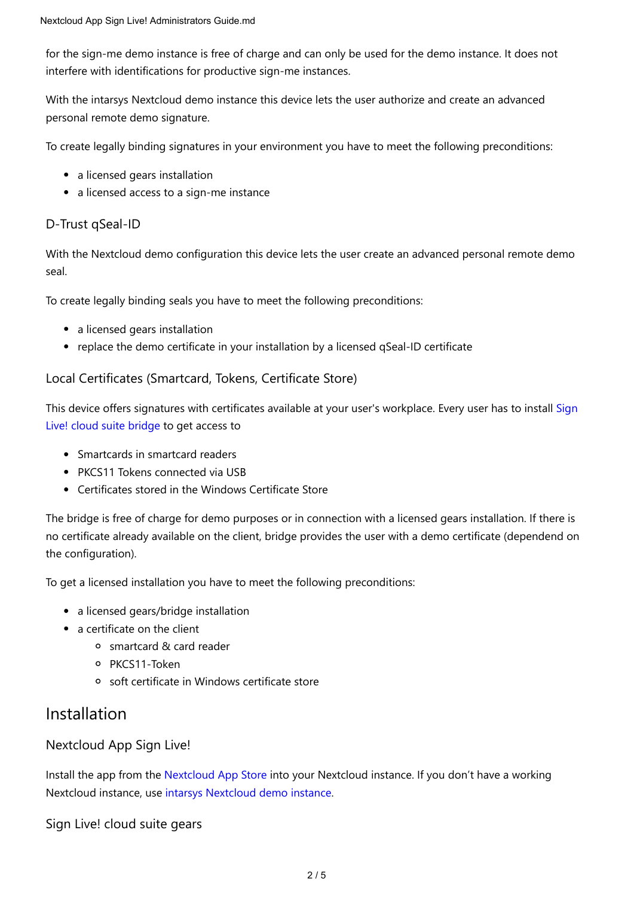for the sign-me demo instance is free of charge and can only be used for the demo instance. It does not interfere with identifications for productive sign-me instances.

With the intarsys Nextcloud demo instance this device lets the user authorize and create an advanced personal remote demo signature.

To create legally binding signatures in your environment you have to meet the following preconditions:

- a licensed gears installation
- a licensed access to a sign-me instance

### D-Trust qSeal-ID

With the Nextcloud demo configuration this device lets the user create an advanced personal remote demo seal.

To create legally binding seals you have to meet the following preconditions:

- a licensed gears installation
- replace the demo certificate in your installation by a licensed qSeal-ID certificate

### Local Certificates (Smartcard, Tokens, Certificate Store)

[This device offers signatures with certificates available at your user's workplace. Every user has to install Sign](https://www.intarsys.de/versionshinweise) Live! cloud suite bridge to get access to

- Smartcards in smartcard readers
- PKCS11 Tokens connected via USB
- Certificates stored in the Windows Certificate Store

The bridge is free of charge for demo purposes or in connection with a licensed gears installation. If there is no certificate already available on the client, bridge provides the user with a demo certificate (dependend on the configuration).

To get a licensed installation you have to meet the following preconditions:

- a licensed gears/bridge installation
- a certificate on the client
	- smartcard & card reader
	- o PKCS11-Token
	- soft certificate in Windows certificate store

### Installation

Nextcloud App Sign Live!

Install the app from the [Nextcloud App Store](https://apps.nextcloud.com/) into your Nextcloud instance. If you don't have a working Nextcloud instance, use [intarsys Nextcloud demo instance](https://nextclouddemo.intarsys.de/).

Sign Live! cloud suite gears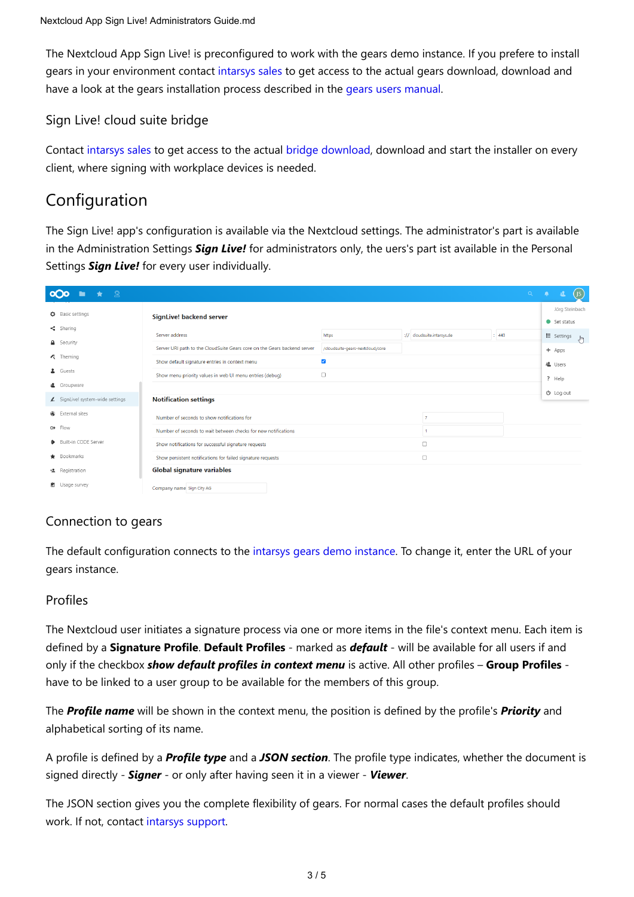The Nextcloud App Sign Live! is preconfigured to work with the gears demo instance. If you prefere to install gears in your environment contact [intarsys sales](https://www.intarsys.de/contact/sales) to get access to the actual gears download, download and have a look at the gears installation process described in the [gears users manual](https://cloudsuite.intarsys.de/cloudsuite-gears/core/doc/Sign%20Live%20cloud%20suite%20gears%20manual.pdf).

### Sign Live! cloud suite bridge

Contact [intarsys sales](https://www.intarsys.de/contact/sales) to get access to the actual [bridge download,](https://www.intarsys.de/versionshinweise) download and start the installer on every client, where signing with workplace devices is needed.

# Configuration

The Sign Live! app's configuration is available via the Nextcloud settings. The administrator's part is available in the Administration Settings *Sign Live!* for administrators only, the uers's part ist available in the Personal Settings *Sign Live!* for every user individually.

| _ ഉ<br><b>OOO</b><br>$\star$   |                                                                                                                     |                                  |                            | Q     | ۰<br>退<br>$($ JS                       |
|--------------------------------|---------------------------------------------------------------------------------------------------------------------|----------------------------------|----------------------------|-------|----------------------------------------|
| Basic settings                 | <b>SignLive! backend server</b>                                                                                     |                                  |                            |       | Jörg Steinbach<br>$\bullet$ Set status |
| $\leq$ Sharing                 | Server address                                                                                                      | https                            | :// cloudsuite.intarsys.de | : 443 | $\mathbf{E}$ Settings $\mathbf{F}$     |
| <b>A</b> Security              | Server URI path to the CloudSuite Gears core on the Gears backend server                                            | /cloudsuite-gears-nextcloud/core |                            |       | + Apps                                 |
| <b>2</b> Theming               | Show default signature entries in context menu                                                                      | $\overline{\mathsf{v}}$          |                            |       | <b>退</b> Users                         |
| 4 Guests<br>& Groupware        | Show menu priority values in web UI menu entries (debug)                                                            | $\Box$                           |                            |       | ? Help                                 |
| SignLive! system-wide settings | <b>Notification settings</b>                                                                                        |                                  |                            |       | $O$ Log out                            |
| <b>4</b> External sites        |                                                                                                                     |                                  |                            |       |                                        |
| $\theta$ Flow                  | Number of seconds to show notifications for                                                                         |                                  | $\overline{7}$             |       |                                        |
| Built-in CODE Server           | Number of seconds to wait between checks for new notifications                                                      |                                  | $\Box$                     |       |                                        |
| Bookmarks                      | Show notifications for successful signature requests<br>Show persistent notifications for failed signature requests |                                  | $\Box$                     |       |                                        |
| <b>L</b> Registration          | Global signature variables                                                                                          |                                  |                            |       |                                        |
| <b>d</b> Usage survey          | Company name Sign City AG                                                                                           |                                  |                            |       |                                        |

### Connection to gears

The default configuration connects to the [intarsys gears demo instance](https://cloudsuite.intarsys.de/cloudsuite-gears-nextcloud/core/). To change it, enter the URL of your gears instance.

### Profiles

The Nextcloud user initiates a signature process via one or more items in the file's context menu. Each item is defined by a **Signature Profile**. **Default Profiles** - marked as *default* - will be available for all users if and only if the checkbox *show default profiles in context menu* is active. All other profiles – **Group Profiles** have to be linked to a user group to be available for the members of this group.

The *Profile name* will be shown in the context menu, the position is defined by the profile's *Priority* and alphabetical sorting of its name.

A profile is defined by a *Profile type* and a *JSON section*. The profile type indicates, whether the document is signed directly - *Signer* - or only after having seen it in a viewer - *Viewer*.

The JSON section gives you the complete flexibility of gears. For normal cases the default profiles should work. If not, contact [intarsys support.](https://www.intarsys.de/contact/support)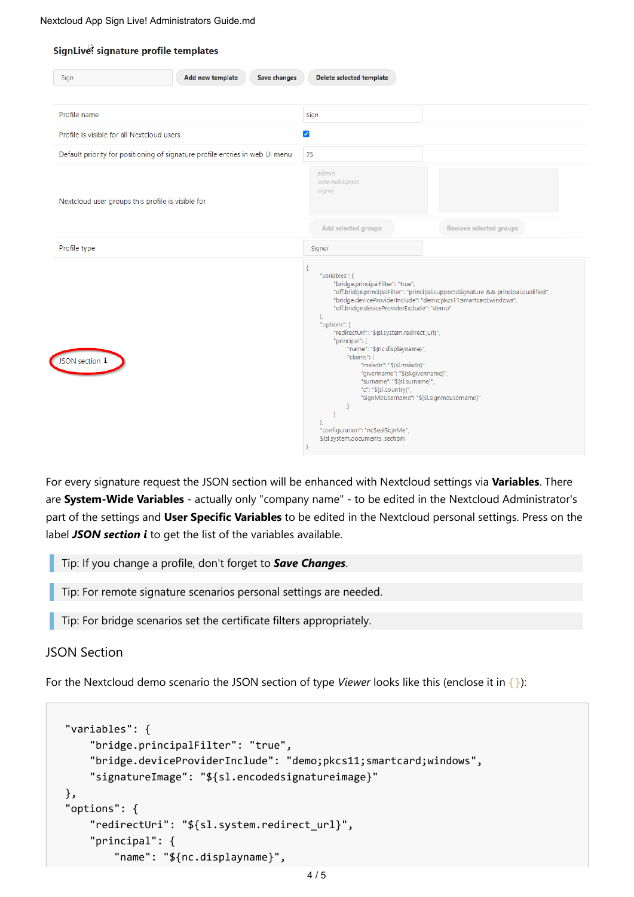#### SignLive! signature profile templates

| Profile name                                                                 | Sign                                                                                                                                                                                                                                                                                                                                                                                                                                                                                                                                                                                                                                                 |  |  |
|------------------------------------------------------------------------------|------------------------------------------------------------------------------------------------------------------------------------------------------------------------------------------------------------------------------------------------------------------------------------------------------------------------------------------------------------------------------------------------------------------------------------------------------------------------------------------------------------------------------------------------------------------------------------------------------------------------------------------------------|--|--|
| Profile is visible for all Nextcloud users                                   | $\blacktriangleright$                                                                                                                                                                                                                                                                                                                                                                                                                                                                                                                                                                                                                                |  |  |
| Default priority for positioning of signature profile entries in web UI menu | 75                                                                                                                                                                                                                                                                                                                                                                                                                                                                                                                                                                                                                                                   |  |  |
| Nextcloud user groups this profile is visible for                            | admin<br>externalSigners<br>signer<br>Remove selected groups<br>Add selected groups                                                                                                                                                                                                                                                                                                                                                                                                                                                                                                                                                                  |  |  |
| Profile type                                                                 | Signer                                                                                                                                                                                                                                                                                                                                                                                                                                                                                                                                                                                                                                               |  |  |
| JSON section i                                                               | "variables": {<br>"bridge.principalFilter": "true",<br>"off.bridge.principalFilter": "principal.supportsSignature && principal.qualified",<br>"bridge.deviceProviderInclude": "demo;pkcs11;smartcard;windows",<br>"off.bridge.deviceProviderExclude": "demo"<br>},<br>"options": {<br>"redirectUri": "\${sl.system.redirect_url}",<br>"principal": {<br>"name": "\${nc.displayname}",<br>"claims": {<br>"msisdn": "\${sl.msisdn}",<br>"givenname": "\${sl.givenname}",<br>"surname": "\${sl.surname}",<br>"c": "\${sl.country}",<br>"signMeUsername": "\${sl.signmeusername}"<br>"configuration": "ncSealSignMe",<br>\${sl.system.documents_section} |  |  |

For every signature request the JSON section will be enhanced with Nextcloud settings via **Variables**. There are **System-Wide Variables** - actually only "company name" - to be edited in the Nextcloud Administrator's part of the settings and **User Specific Variables** to be edited in the Nextcloud personal settings. Press on the label **JSON section i** to get the list of the variables available.

Tip: If you change a profile, don't forget to *Save Changes*.

Tip: For remote signature scenarios personal settings are needed.

Tip: For bridge scenarios set the certificate filters appropriately.

### JSON Section

For the Nextcloud demo scenario the JSON section of type *Viewer* looks like this (enclose it in {}):

```
"variables": {
    "bridge.principalFilter": "true",
    "bridge.deviceProviderInclude": "demo;pkcs11;smartcard;windows",
    "signatureImage": "${sl.encodedsignatureimage}"
},
"options": {
    "redirectUri": "${sl.system.redirect_url}",
    "principal": {
        "name": "${nc.displayname}",
```